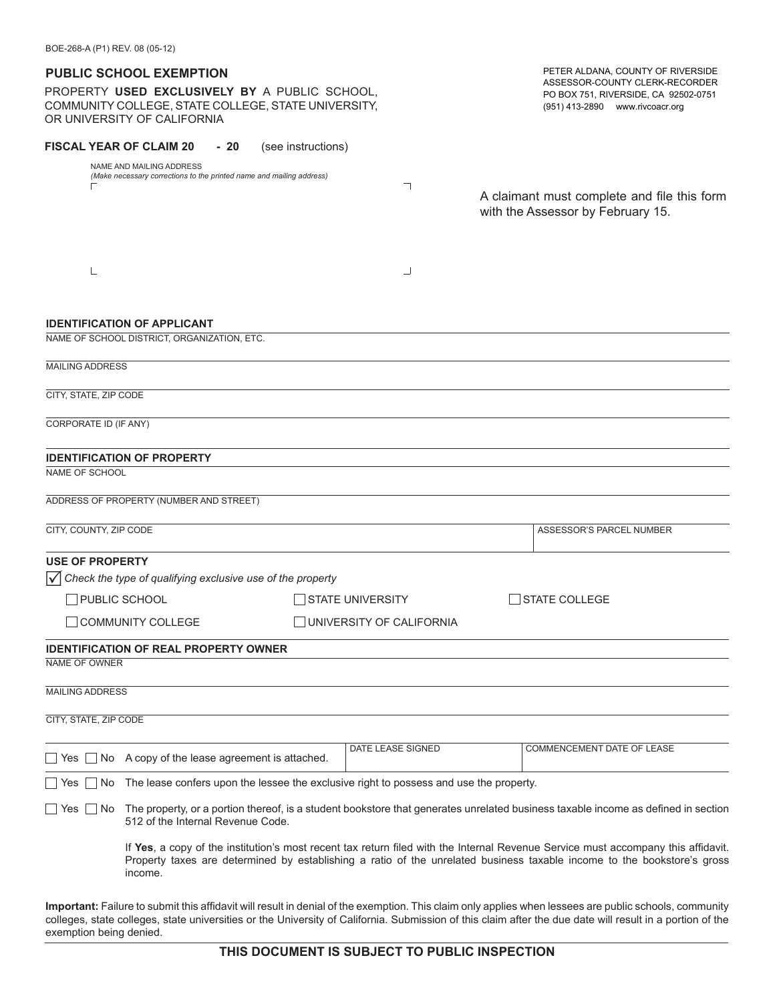| BOE-268-A (P1) REV. 08 (05-12)                                                                                                                                                           |                                                                                                                                     |                         |                          |                                                                                                                                                                                                                                                              |  |
|------------------------------------------------------------------------------------------------------------------------------------------------------------------------------------------|-------------------------------------------------------------------------------------------------------------------------------------|-------------------------|--------------------------|--------------------------------------------------------------------------------------------------------------------------------------------------------------------------------------------------------------------------------------------------------------|--|
|                                                                                                                                                                                          | <b>PUBLIC SCHOOL EXEMPTION</b>                                                                                                      |                         |                          | PETER ALDANA, COUNTY OF RIVERSIDE                                                                                                                                                                                                                            |  |
|                                                                                                                                                                                          | PROPERTY USED EXCLUSIVELY BY A PUBLIC SCHOOL,<br>COMMUNITY COLLEGE, STATE COLLEGE, STATE UNIVERSITY,<br>OR UNIVERSITY OF CALIFORNIA |                         |                          | ASSESSOR-COUNTY CLERK-RECORDER<br>PO BOX 751, RIVERSIDE, CA 92502-0751<br>(951) 413-2890 www.rivcoacr.org                                                                                                                                                    |  |
|                                                                                                                                                                                          | <b>FISCAL YEAR OF CLAIM 20</b><br>- 20                                                                                              | (see instructions)      |                          |                                                                                                                                                                                                                                                              |  |
|                                                                                                                                                                                          | NAME AND MAILING ADDRESS<br>(Make necessary corrections to the printed name and mailing address)                                    |                         | ㄱ                        | A claimant must complete and file this form<br>with the Assessor by February 15.                                                                                                                                                                             |  |
|                                                                                                                                                                                          |                                                                                                                                     |                         | ┘                        |                                                                                                                                                                                                                                                              |  |
|                                                                                                                                                                                          | <b>IDENTIFICATION OF APPLICANT</b>                                                                                                  |                         |                          |                                                                                                                                                                                                                                                              |  |
|                                                                                                                                                                                          | NAME OF SCHOOL DISTRICT, ORGANIZATION, ETC.                                                                                         |                         |                          |                                                                                                                                                                                                                                                              |  |
| <b>MAILING ADDRESS</b>                                                                                                                                                                   |                                                                                                                                     |                         |                          |                                                                                                                                                                                                                                                              |  |
| CITY, STATE, ZIP CODE                                                                                                                                                                    |                                                                                                                                     |                         |                          |                                                                                                                                                                                                                                                              |  |
| CORPORATE ID (IF ANY)                                                                                                                                                                    |                                                                                                                                     |                         |                          |                                                                                                                                                                                                                                                              |  |
|                                                                                                                                                                                          |                                                                                                                                     |                         |                          |                                                                                                                                                                                                                                                              |  |
| NAME OF SCHOOL                                                                                                                                                                           | <b>IDENTIFICATION OF PROPERTY</b>                                                                                                   |                         |                          |                                                                                                                                                                                                                                                              |  |
|                                                                                                                                                                                          | ADDRESS OF PROPERTY (NUMBER AND STREET)                                                                                             |                         |                          |                                                                                                                                                                                                                                                              |  |
|                                                                                                                                                                                          |                                                                                                                                     |                         |                          |                                                                                                                                                                                                                                                              |  |
| CITY, COUNTY, ZIP CODE                                                                                                                                                                   |                                                                                                                                     |                         |                          | ASSESSOR'S PARCEL NUMBER                                                                                                                                                                                                                                     |  |
| <b>USE OF PROPERTY</b>                                                                                                                                                                   |                                                                                                                                     |                         |                          |                                                                                                                                                                                                                                                              |  |
|                                                                                                                                                                                          | $\sqrt{\phantom{a}}$ Check the type of qualifying exclusive use of the property                                                     |                         |                          |                                                                                                                                                                                                                                                              |  |
| PUBLIC SCHOOL                                                                                                                                                                            |                                                                                                                                     | <b>STATE UNIVERSITY</b> |                          | <b>STATE COLLEGE</b>                                                                                                                                                                                                                                         |  |
|                                                                                                                                                                                          | <b>COMMUNITY COLLEGE</b>                                                                                                            |                         | UNIVERSITY OF CALIFORNIA |                                                                                                                                                                                                                                                              |  |
|                                                                                                                                                                                          | <b>IDENTIFICATION OF REAL PROPERTY OWNER</b>                                                                                        |                         |                          |                                                                                                                                                                                                                                                              |  |
| NAME OF OWNER                                                                                                                                                                            |                                                                                                                                     |                         |                          |                                                                                                                                                                                                                                                              |  |
| MAILING ADDRESS                                                                                                                                                                          |                                                                                                                                     |                         |                          |                                                                                                                                                                                                                                                              |  |
| CITY, STATE, ZIP CODE                                                                                                                                                                    |                                                                                                                                     |                         |                          |                                                                                                                                                                                                                                                              |  |
|                                                                                                                                                                                          | $\Box$ Yes $\Box$ No A copy of the lease agreement is attached.                                                                     |                         | DATE LEASE SIGNED        | COMMENCEMENT DATE OF LEASE                                                                                                                                                                                                                                   |  |
| Yes     No                                                                                                                                                                               | The lease confers upon the lessee the exclusive right to possess and use the property.                                              |                         |                          |                                                                                                                                                                                                                                                              |  |
| The property, or a portion thereof, is a student bookstore that generates unrelated business taxable income as defined in section<br>    Yes     No<br>512 of the Internal Revenue Code. |                                                                                                                                     |                         |                          |                                                                                                                                                                                                                                                              |  |
|                                                                                                                                                                                          | income.                                                                                                                             |                         |                          | If Yes, a copy of the institution's most recent tax return filed with the Internal Revenue Service must accompany this affidavit.<br>Property taxes are determined by establishing a ratio of the unrelated business taxable income to the bookstore's gross |  |

**Important:** Failure to submit this affidavit will result in denial of the exemption. This claim only applies when lessees are public schools, community colleges, state colleges, state universities or the University of California. Submission of this claim after the due date will result in a portion of the exemption being denied.